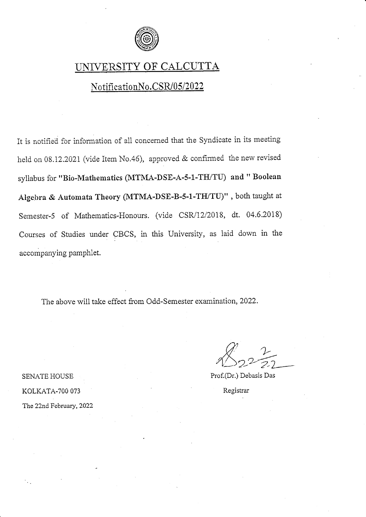

## UNIVERSITY OF CALCUTTA

### NotificationNo.CSR/05/2022

It is notified for information of a1i concerned that the Syndicate in its meeting held on 08.12.2021 (vide Item No.46), approved & confirmed the new revised syllabus for "Bio-Mathematics (MTNIA-DSE-A-5-1-TIUTU) and " Boolean Algebra & Automata Theory (MTMA-DSE-B-5-1-TH/TU)", both taught at Semester-5 of Mathematics-Honours. (vide CSR/12/2018, dt. 04.6.2018) Courses of Studies under CBCS, in this University, as laid down in the acccmpanying pamphlet.

The above will take effect from Odd-Semester examination,2022.

 $\sqrt[4]{2^2-2^2}$ 

Prof.(Dr.) Debasis Das

Registrar

KOLKATA-7OO 073

SENATE HOUSE

The 22nd February, 2022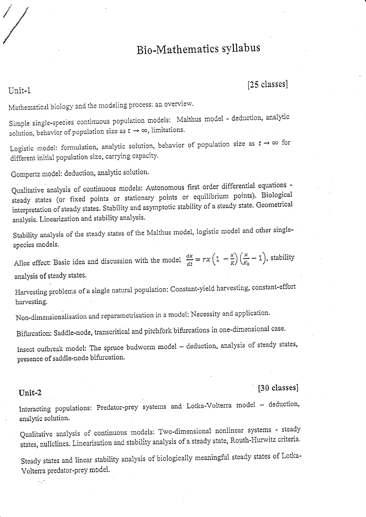# Bio-Mathematics syllabus

### [25 classes]

Mathematical biology and the modeling process: an overview.

Simple single-species continuous population models: Malthus model - deduction, analytic solution, behavior of population size as  $t \to \infty$ , limitations.

Logistic model: formulation, analytic solution, behavior of population size as  $t \to \infty$  for different initial population size, carrying capacity.

Gompertz model: deduction, analytic solution.

Qualitative analysis of continuous models: Autonomous first order differential equations steady states (or fixed points or stationary points or equilibrium points). Biological interpretation of steady states. Stability and asymptotic stability of a steady state. Geometrical analysis. Linearization and stability analysis.

Stability analysis of the steady states of the Malthus model, logistic model and other singlespecies models.

Allee effect: Basic idea and discussion with the model  $\frac{dx}{dt} = rx\left(1 - \frac{x}{K}\right)\left(\frac{x}{K_0} - 1\right)$ , stability analysis of steady states.

Harvesting problems of a single natural population: Constant-yield harvesting, constant-effort harvesting.

Non-dimensionalisation and reparametrisation in a model: Necessity and application.

Bifurcation: Saddle-node, transcritical and pitchfork bifurcations in one-dimensional case.

Insect outbreak model: The spruce budworm model - deduction, analysis of steady states, presence of saddle-node bifurcation.

#### [30 classes]

## Interacting populations: Predator-prey systems and Lotka-Volterra model - deduction, analytic solution.

Qualitative analysis of continuous models: Two-dimensional nonlinear systems - steady states, nullclines. Linearisation and stability analysis of a steady state, Routh-Hurwitz criteria.

Steady states and linear stability analysis of biologically meaningful steady states of Lotka-Volterra predator-prey model.

#### Unit-2

Unit-1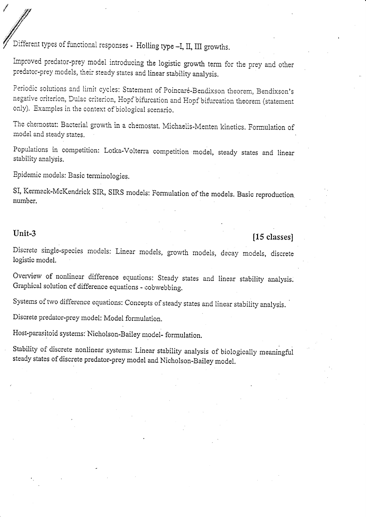Different types of functional responses - Holling type -I, II, III growths.

Improved predator-prey model introducing the logistic growth term for the prey and other predator-prey models, their steady states and linear stability analysis.

Periodic solutions and limit cycles: Statement of Poincaré-Bendixson theorem, Bendixson's negative criterion, Dulac criterion, Hopf bifurcation and Hopf bifurcation theorem (statement only). Examples in the context of biological scenario.

The chemostat: Bacterial growth in a chemostat. Michaelis-Menten kinetics. Formulation of model and steady states.

Populations in competition: Lotka-Volterra competition model, steady states and linear stability analysis.

Epidemic models: Basic terminologies.

SI, Kermack-McKendrick SIR, SIRS models: Formulation of the models. Basic reproduction number.

#### Unit-3

### [15 classes]

Discrete single-species models: Linear models, growth models, decay models, discrete logistic model.

Overview of nonlinear difference equations: Steady states and linear stability analysis. Graphical solution of difference equations - cobwebbing.

Systems of two difference equations: Concepts of steady states and linear stability analysis.

Discrete predator-prey model: Model formulation.

Host-parasitoid systems: Nicholson-Bailey model-formulation.

Stability of discrete nonlinear systems: Linear stability analysis of biologically meaningful steady states of discrete predator-prey model and Nicholson-Bailey model.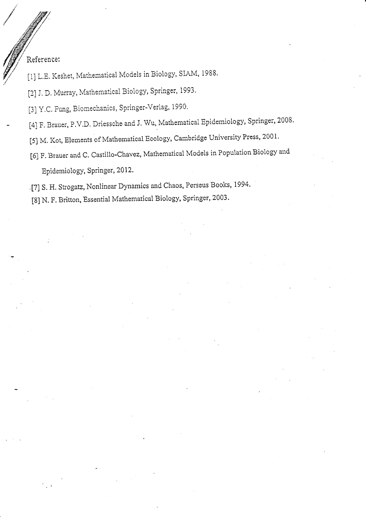Reference:

[1] L.E. Keshet, Mathematical Models in Biology, SIAM, 1988.

[2] J. D. Murray, Mathematical Biology, Springer, 1993.

[3] Y.C. Fung, Biomechanics, Springer-Verlag, 1990.

- [4] F. Brauer, P.V.D. Driessche and J. Wu, Mathematical Epidemiology, Springer, 2008.
	- [5] M. Kot, Elements of Mathematical Ecology, Cambridge University Press, 2001.
	- [6] F. Brauer and C. Castillo-Chavez, Mathematical Models in Population Biology and Epidemiology, Springer, 2012.

i7] s. H. strogatz, Nonlinear Dynamics and chaos, Perseus Books, 1994.

t8] N.F. Britton, Essential Mathematical Biology, Springer, 2003.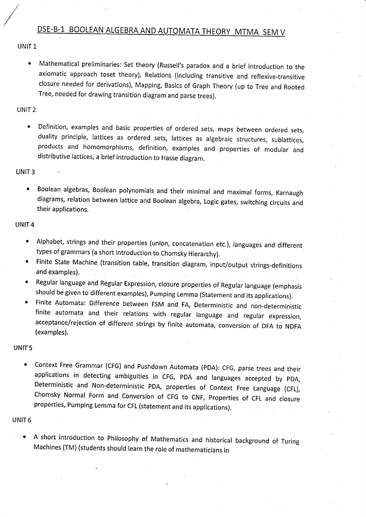## DSE-B-1 BOOLEAN ALGEBRA AND AUTOMATA THEORY MTMA SEM V

UNIT 1

.<br>I

o Mathematical prellminaries: Set theory (Russell's paradox and a brief introduction to the axiomatic approach toset theory), Relations (including transitive and reflexive-transitive closure needed for derivations), Mapping, Basics of Graph Theory (up to Tree and Rooted Tree, needed for drawing transition diagram and parse trees).

UNIT 2

• Definition, examples and basic properties of ordered sets, maps between ordered sets, duality principle, lattices as ordered sets, lattices as algebraic structures, sublattices, products and homomorphisms, definition, examples and properties of modular and distributive lattices, a brief introduction to Hasse diagram.

UNIT 3

o Boolean algebras, Boolean polynomials and their minimal and maximal forms, Karnaugh diagrams, relation between lattice and Boolean algebra, Logic gates, switching circuits and their applications.

UNIT 4

- Alphabet, strings and their properties (union, concatenation etc.), languages and different types of grammars (a short introduction to chomsky Hierarchy).
- Finite state Machine (transition table, transition diagram, input/output strings-definitions and examples).
- Regular language and Regular Expression, closure properties of Regular language (emphasis should be given to different examples), Pumping Lemma (statement and its applications).
- Finite Automata: Difference between FSM and FA, Deterministic and non-deterministic finite automata and their relations with regular language and regular expression, acceptance/rejection of different strings by finite automata, conversion of DFA to NDFA (examples).

UNIT 5

• Context Free Grammar (CFG) and Pushdown Automata (PDA): CFG, parse trees and their applications in detecting ambiguities in CFG, PDA and languages accepted by pDA, Deterministic and Non-deterministic PDA, properties of Context Free Language (CFL), chomsky Normal Form and conversion of cFG to cNF, properties of cFL and closure properties, pumping Lemma for cFL (statement and its applications).

UNIT 6

A short introduction to Philosophy of Mathematics and historical background of Turing Machines (TM) (students should learn the role of mathematicians in